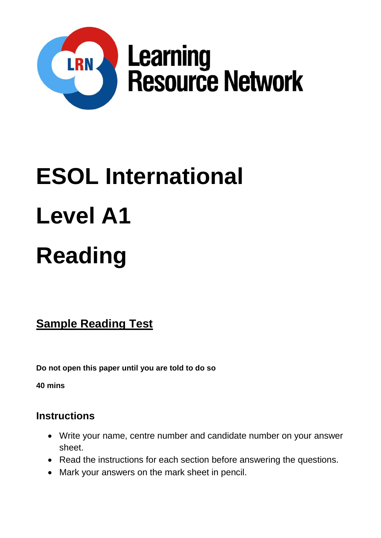

# **ESOL International Level A1 Reading**

**Sample Reading Test**

**Do not open this paper until you are told to do so**

**40 mins**

# **Instructions**

- Write your name, centre number and candidate number on your answer sheet.
- Read the instructions for each section before answering the questions.
- Mark your answers on the mark sheet in pencil.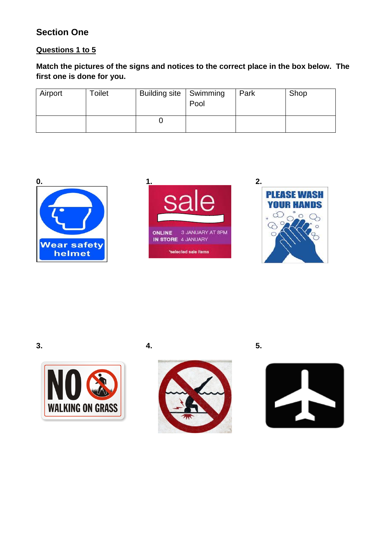# **Section One**

## **Questions 1 to 5**

**Match the pictures of the signs and notices to the correct place in the box below. The first one is done for you.**

| Airport | Toilet | Building site   Swimming | Pool | Park | Shop |
|---------|--------|--------------------------|------|------|------|
|         |        |                          |      |      |      |















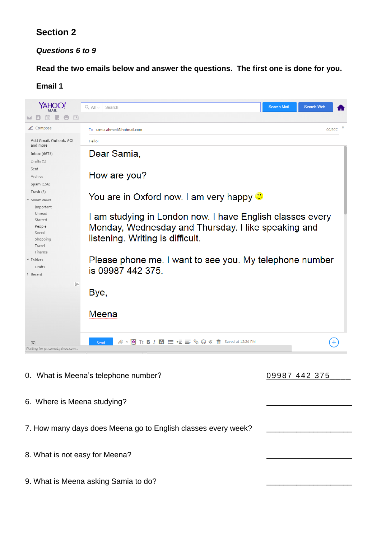# **Section 2**

## *Questions 6 to 9*

**Read the two emails below and answer the questions. The first one is done for you.** 

#### **Email 1**



- 0. What is Meena's telephone number? 09987 442 375
- 

- 6. Where is Meena studving?
- 7. How many days does Meena go to English classes every week?
- 8. What is not easy for Meena?
- 9. What is Meena asking Samia to do?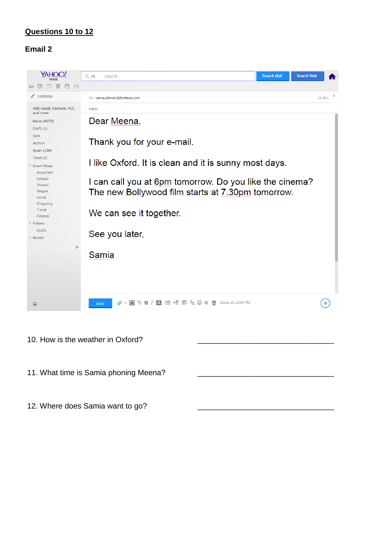#### **Questions 10 to 12**

### **Email 2**



- 10. How is the weather in Oxford?
- 11. What time is Samia phoning Meena?
- 12. Where does Samia want to go?